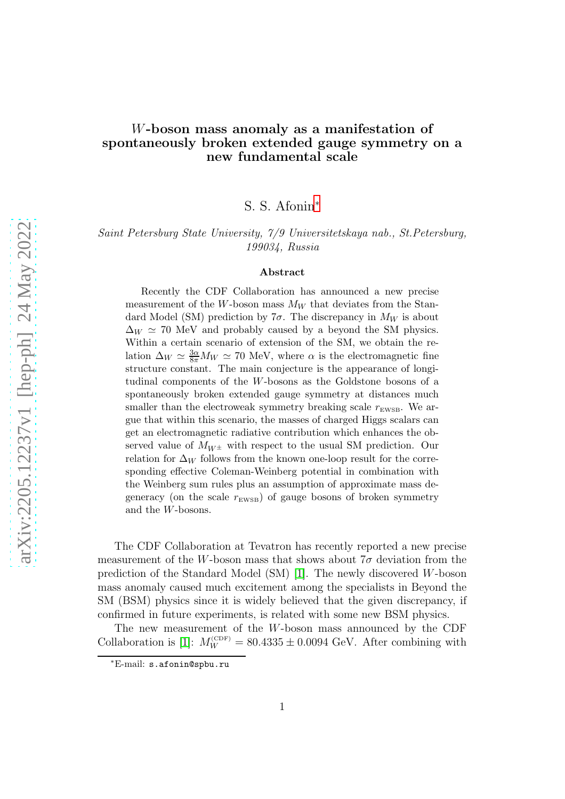## W-boson mass anomaly as a manifestation of spontaneously broken extended gauge symmetry on a new fundamental scale

S. S. Afonin[∗](#page-0-0)

Saint Petersburg State University, 7/9 Universitetskaya nab., St.Petersburg, 199034, Russia

## Abstract

Recently the CDF Collaboration has announced a new precise measurement of the W-boson mass  $M_W$  that deviates from the Standard Model (SM) prediction by  $7\sigma$ . The discrepancy in  $M_W$  is about  $\Delta_W \simeq 70$  MeV and probably caused by a beyond the SM physics. Within a certain scenario of extension of the SM, we obtain the relation  $\Delta_W \simeq \frac{3\alpha}{8\pi} M_W \simeq 70$  MeV, where  $\alpha$  is the electromagnetic fine structure constant. The main conjecture is the appearance of longitudinal components of the W-bosons as the Goldstone bosons of a spontaneously broken extended gauge symmetry at distances much smaller than the electroweak symmetry breaking scale  $r_{\text{EWSB}}$ . We argue that within this scenario, the masses of charged Higgs scalars can get an electromagnetic radiative contribution which enhances the observed value of  $M_{W^{\pm}}$  with respect to the usual SM prediction. Our relation for  $\Delta_W$  follows from the known one-loop result for the corresponding effective Coleman-Weinberg potential in combination with the Weinberg sum rules plus an assumption of approximate mass degeneracy (on the scale  $r_{\rm{EWSB}})$  of gauge bosons of broken symmetry and the W-bosons.

The CDF Collaboration at Tevatron has recently reported a new precise measurement of the W-boson mass that shows about  $7\sigma$  deviation from the prediction of the Standard Model (SM) [\[1\]](#page-7-0). The newly discovered W-boson mass anomaly caused much excitement among the specialists in Beyond the SM (BSM) physics since it is widely believed that the given discrepancy, if confirmed in future experiments, is related with some new BSM physics.

The new measurement of the W-boson mass announced by the CDF Collaboration is [\[1\]](#page-7-0):  $M_W^{\text{(CDF)}} = 80.4335 \pm 0.0094 \text{ GeV}$ . After combining with

<span id="page-0-0"></span><sup>∗</sup>E-mail: s.afonin@spbu.ru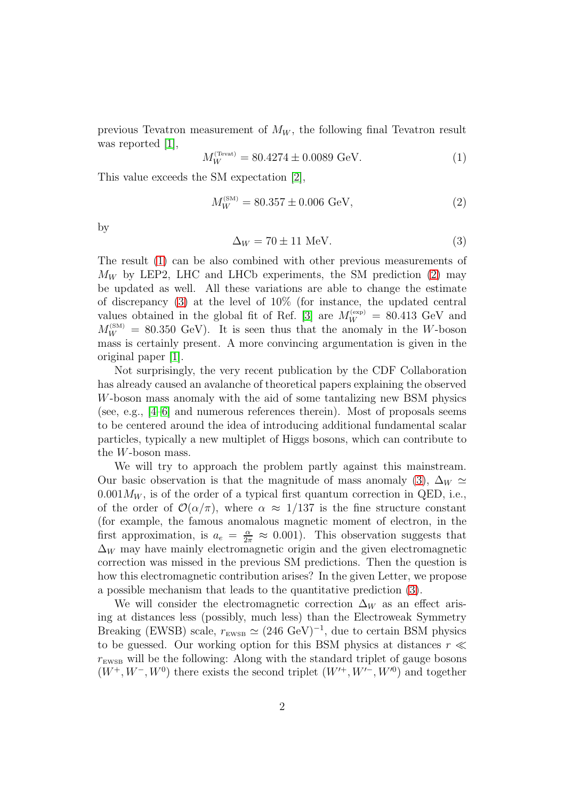previous Tevatron measurement of  $M_W$ , the following final Tevatron result was reported [\[1\]](#page-7-0),

<span id="page-1-0"></span>
$$
M_W^{\text{(Text)}} = 80.4274 \pm 0.0089 \text{ GeV}.
$$
 (1)

This value exceeds the SM expectation [\[2\]](#page-7-1),

<span id="page-1-1"></span>
$$
M_W^{(\text{SM})} = 80.357 \pm 0.006 \text{ GeV},\tag{2}
$$

by

<span id="page-1-2"></span>
$$
\Delta_W = 70 \pm 11 \text{ MeV}.\tag{3}
$$

The result [\(1\)](#page-1-0) can be also combined with other previous measurements of  $M_W$  by LEP2, LHC and LHCb experiments, the SM prediction [\(2\)](#page-1-1) may be updated as well. All these variations are able to change the estimate of discrepancy [\(3\)](#page-1-2) at the level of 10% (for instance, the updated central values obtained in the global fit of Ref. [\[3\]](#page-7-2) are  $M_W^{(exp)} = 80.413$  GeV and  $M_W^{(SM)} = 80.350 \text{ GeV}$ . It is seen thus that the anomaly in the W-boson mass is certainly present. A more convincing argumentation is given in the original paper [\[1\]](#page-7-0).

Not surprisingly, the very recent publication by the CDF Collaboration has already caused an avalanche of theoretical papers explaining the observed W-boson mass anomaly with the aid of some tantalizing new BSM physics (see, e.g.,  $[4-6]$  $[4-6]$  and numerous references therein). Most of proposals seems to be centered around the idea of introducing additional fundamental scalar particles, typically a new multiplet of Higgs bosons, which can contribute to the W-boson mass.

We will try to approach the problem partly against this mainstream. Our basic observation is that the magnitude of mass anomaly [\(3\)](#page-1-2),  $\Delta_W \simeq$  $0.001M_W$ , is of the order of a typical first quantum correction in QED, i.e., of the order of  $\mathcal{O}(\alpha/\pi)$ , where  $\alpha \approx 1/137$  is the fine structure constant (for example, the famous anomalous magnetic moment of electron, in the first approximation, is  $a_e = \frac{\alpha}{2\pi} \approx 0.001$ ). This observation suggests that  $\Delta_W$  may have mainly electromagnetic origin and the given electromagnetic correction was missed in the previous SM predictions. Then the question is how this electromagnetic contribution arises? In the given Letter, we propose a possible mechanism that leads to the quantitative prediction [\(3\)](#page-1-2).

We will consider the electromagnetic correction  $\Delta_W$  as an effect arising at distances less (possibly, much less) than the Electroweak Symmetry Breaking (EWSB) scale,  $r_{\text{EWSB}} \simeq (246 \text{ GeV})^{-1}$ , due to certain BSM physics to be guessed. Our working option for this BSM physics at distances  $r \ll$  $r_{\text{EWSB}}$  will be the following: Along with the standard triplet of gauge bosons  $(W^+, W^-, W^0)$  there exists the second triplet  $(W'^+, W'^-, W'^0)$  and together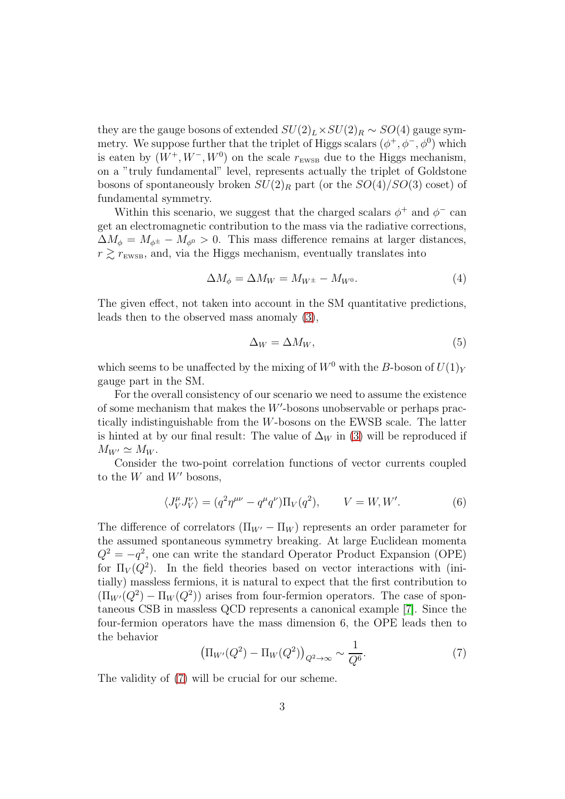they are the gauge bosons of extended  $SU(2)_L \times SU(2)_R \sim SO(4)$  gauge symmetry. We suppose further that the triplet of Higgs scalars  $(\phi^+, \phi^-, \phi^0)$  which is eaten by  $(W^+, W^-, W^0)$  on the scale  $r_{\text{EWSB}}$  due to the Higgs mechanism, on a "truly fundamental" level, represents actually the triplet of Goldstone bosons of spontaneously broken  $SU(2)_R$  part (or the  $SO(4)/SO(3)$  coset) of fundamental symmetry.

Within this scenario, we suggest that the charged scalars  $\phi^+$  and  $\phi^-$  can get an electromagnetic contribution to the mass via the radiative corrections,  $\Delta M_{\phi} = M_{\phi^{\pm}} - M_{\phi^0} > 0$ . This mass difference remains at larger distances,  $r \gtrsim r_{\text{EWSB}}$ , and, via the Higgs mechanism, eventually translates into

$$
\Delta M_{\phi} = \Delta M_W = M_{W^{\pm}} - M_{W^0}.
$$
\n(4)

The given effect, not taken into account in the SM quantitative predictions, leads then to the observed mass anomaly [\(3\)](#page-1-2),

$$
\Delta_W = \Delta M_W,\tag{5}
$$

which seems to be unaffected by the mixing of  $W^0$  with the B-boson of  $U(1)_Y$ gauge part in the SM.

For the overall consistency of our scenario we need to assume the existence of some mechanism that makes the  $W'$ -bosons unobservable or perhaps practically indistinguishable from the W-bosons on the EWSB scale. The latter is hinted at by our final result: The value of  $\Delta_W$  in [\(3\)](#page-1-2) will be reproduced if  $M_{W'} \simeq M_W$ .

Consider the two-point correlation functions of vector currents coupled to the  $W$  and  $W'$  bosons,

<span id="page-2-1"></span>
$$
\langle J_V^{\mu} J_V^{\nu} \rangle = (q^2 \eta^{\mu\nu} - q^{\mu} q^{\nu}) \Pi_V(q^2), \qquad V = W, W'. \tag{6}
$$

The difference of correlators  $(\Pi_{W'} - \Pi_W)$  represents an order parameter for the assumed spontaneous symmetry breaking. At large Euclidean momenta  $Q^2 = -q^2$ , one can write the standard Operator Product Expansion (OPE) for  $\Pi_V(Q^2)$ . In the field theories based on vector interactions with (initially) massless fermions, it is natural to expect that the first contribution to  $(\Pi_{W'}(Q^2) - \Pi_W(Q^2))$  arises from four-fermion operators. The case of spontaneous CSB in massless QCD represents a canonical example [\[7\]](#page-8-1). Since the four-fermion operators have the mass dimension 6, the OPE leads then to the behavior

<span id="page-2-0"></span>
$$
\left(\Pi_{W'}(Q^2) - \Pi_W(Q^2)\right)_{Q^2 \to \infty} \sim \frac{1}{Q^6}.\tag{7}
$$

The validity of [\(7\)](#page-2-0) will be crucial for our scheme.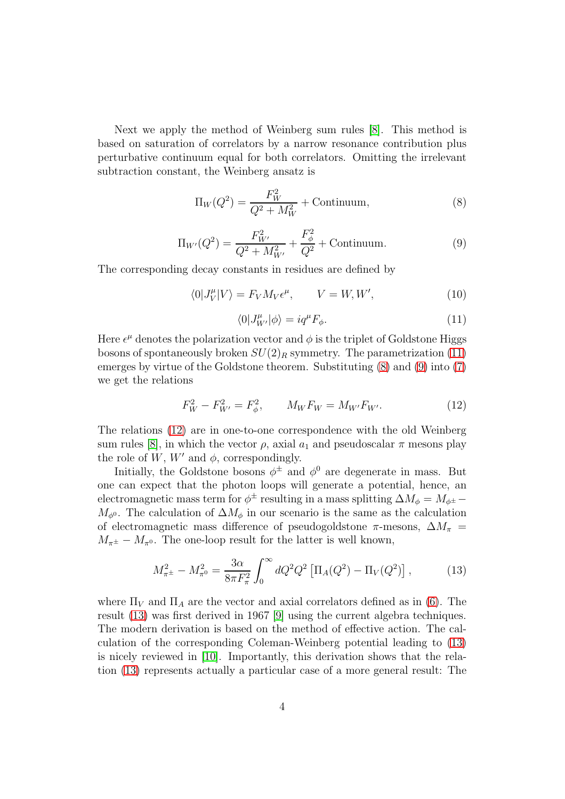Next we apply the method of Weinberg sum rules [\[8\]](#page-8-2). This method is based on saturation of correlators by a narrow resonance contribution plus perturbative continuum equal for both correlators. Omitting the irrelevant subtraction constant, the Weinberg ansatz is

<span id="page-3-1"></span>
$$
\Pi_W(Q^2) = \frac{F_W^2}{Q^2 + M_W^2} + \text{Continuum},\tag{8}
$$

<span id="page-3-2"></span>
$$
\Pi_{W'}(Q^2) = \frac{F_{W'}^2}{Q^2 + M_{W'}^2} + \frac{F_{\phi}^2}{Q^2} + \text{Continuum.}
$$
\n(9)

The corresponding decay constants in residues are defined by

$$
\langle 0|J_V^{\mu}|V\rangle = F_V M_V \epsilon^{\mu}, \qquad V = W, W', \qquad (10)
$$

<span id="page-3-0"></span>
$$
\langle 0|J_{W'}^{\mu}|\phi\rangle = iq^{\mu}F_{\phi}.
$$
\n(11)

Here  $\epsilon^{\mu}$  denotes the polarization vector and  $\phi$  is the triplet of Goldstone Higgs bosons of spontaneously broken  $SU(2)_R$  symmetry. The parametrization [\(11\)](#page-3-0) emerges by virtue of the Goldstone theorem. Substituting [\(8\)](#page-3-1) and [\(9\)](#page-3-2) into [\(7\)](#page-2-0) we get the relations

<span id="page-3-3"></span>
$$
F_W^2 - F_{W'}^2 = F_\phi^2, \qquad M_W F_W = M_{W'} F_{W'}.
$$
\n(12)

The relations [\(12\)](#page-3-3) are in one-to-one correspondence with the old Weinberg sum rules [\[8\]](#page-8-2), in which the vector  $\rho$ , axial  $a_1$  and pseudoscalar  $\pi$  mesons play the role of  $W$ ,  $W'$  and  $\phi$ , correspondingly.

Initially, the Goldstone bosons  $\phi^{\pm}$  and  $\phi^{0}$  are degenerate in mass. But one can expect that the photon loops will generate a potential, hence, an electromagnetic mass term for  $\phi^{\pm}$  resulting in a mass splitting  $\Delta M_{\phi} = M_{\phi^{\pm}} M_{\phi^0}$ . The calculation of  $\Delta M_{\phi}$  in our scenario is the same as the calculation of electromagnetic mass difference of pseudogoldstone  $\pi$ -mesons,  $\Delta M_{\pi}$  =  $M_{\pi^{\pm}} - M_{\pi^0}$ . The one-loop result for the latter is well known,

<span id="page-3-4"></span>
$$
M_{\pi^{\pm}}^2 - M_{\pi^0}^2 = \frac{3\alpha}{8\pi F_{\pi}^2} \int_0^{\infty} dQ^2 Q^2 \left[ \Pi_A(Q^2) - \Pi_V(Q^2) \right],\tag{13}
$$

where  $\Pi_V$  and  $\Pi_A$  are the vector and axial correlators defined as in [\(6\)](#page-2-1). The result [\(13\)](#page-3-4) was first derived in 1967 [\[9\]](#page-8-3) using the current algebra techniques. The modern derivation is based on the method of effective action. The calculation of the corresponding Coleman-Weinberg potential leading to [\(13\)](#page-3-4) is nicely reviewed in [\[10\]](#page-8-4). Importantly, this derivation shows that the relation [\(13\)](#page-3-4) represents actually a particular case of a more general result: The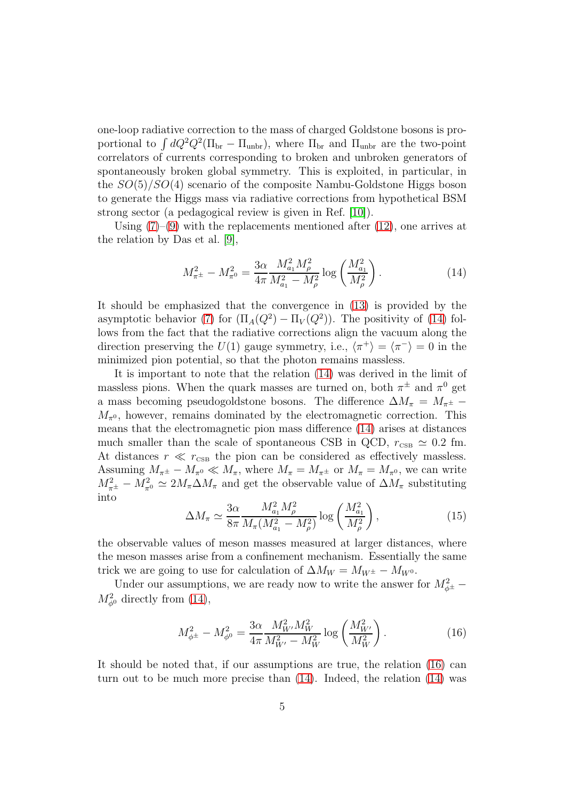one-loop radiative correction to the mass of charged Goldstone bosons is proportional to  $\int dQ^2 Q^2(\Pi_{\rm br} - \Pi_{\rm unbr})$ , where  $\Pi_{\rm br}$  and  $\Pi_{\rm unbr}$  are the two-point correlators of currents corresponding to broken and unbroken generators of spontaneously broken global symmetry. This is exploited, in particular, in the  $SO(5)/SO(4)$  scenario of the composite Nambu-Goldstone Higgs boson to generate the Higgs mass via radiative corrections from hypothetical BSM strong sector (a pedagogical review is given in Ref. [\[10\]](#page-8-4)).

Using  $(7)-(9)$  $(7)-(9)$  with the replacements mentioned after  $(12)$ , one arrives at the relation by Das et al. [\[9\]](#page-8-3),

<span id="page-4-0"></span>
$$
M_{\pi^{\pm}}^2 - M_{\pi^0}^2 = \frac{3\alpha}{4\pi} \frac{M_{a_1}^2 M_{\rho}^2}{M_{a_1}^2 - M_{\rho}^2} \log\left(\frac{M_{a_1}^2}{M_{\rho}^2}\right).
$$
 (14)

It should be emphasized that the convergence in [\(13\)](#page-3-4) is provided by the asymptotic behavior [\(7\)](#page-2-0) for  $(\Pi_A(Q^2) - \Pi_V(Q^2))$ . The positivity of [\(14\)](#page-4-0) follows from the fact that the radiative corrections align the vacuum along the direction preserving the  $U(1)$  gauge symmetry, i.e.,  $\langle \pi^+ \rangle = \langle \pi^- \rangle = 0$  in the minimized pion potential, so that the photon remains massless.

It is important to note that the relation [\(14\)](#page-4-0) was derived in the limit of massless pions. When the quark masses are turned on, both  $\pi^{\pm}$  and  $\pi^{0}$  get a mass becoming pseudogoldstone bosons. The difference  $\Delta M_\pi$  =  $M_{\pi^\pm}$  −  $M_{\pi^0}$ , however, remains dominated by the electromagnetic correction. This means that the electromagnetic pion mass difference [\(14\)](#page-4-0) arises at distances much smaller than the scale of spontaneous CSB in QCD,  $r_{\text{CSB}} \simeq 0.2$  fm. At distances  $r \ll r_{\text{CSB}}$  the pion can be considered as effectively massless. Assuming  $M_{\pi^{\pm}} - M_{\pi^0} \ll M_{\pi}$ , where  $M_{\pi} = M_{\pi^{\pm}}$  or  $M_{\pi} = M_{\pi^0}$ , we can write  $M_{\pi^{\pm}}^2 - M_{\pi^0}^2 \simeq 2M_{\pi} \Delta M_{\pi}$  and get the observable value of  $\Delta M_{\pi}$  substituting into

<span id="page-4-2"></span>
$$
\Delta M_{\pi} \simeq \frac{3\alpha}{8\pi} \frac{M_{a_1}^2 M_{\rho}^2}{M_{\pi}(M_{a_1}^2 - M_{\rho}^2)} \log\left(\frac{M_{a_1}^2}{M_{\rho}^2}\right),\tag{15}
$$

the observable values of meson masses measured at larger distances, where the meson masses arise from a confinement mechanism. Essentially the same trick we are going to use for calculation of  $\Delta M_W = M_{W^{\pm}} - M_{W^0}$ .

Under our assumptions, we are ready now to write the answer for  $M_{\phi^{\pm}}^2$  –  $M_{\phi^0}^2$  directly from [\(14\)](#page-4-0),

<span id="page-4-1"></span>
$$
M_{\phi^{\pm}}^2 - M_{\phi^0}^2 = \frac{3\alpha}{4\pi} \frac{M_{W'}^2 M_W^2}{M_{W'}^2 - M_W^2} \log\left(\frac{M_{W'}^2}{M_W^2}\right). \tag{16}
$$

It should be noted that, if our assumptions are true, the relation [\(16\)](#page-4-1) can turn out to be much more precise than [\(14\)](#page-4-0). Indeed, the relation [\(14\)](#page-4-0) was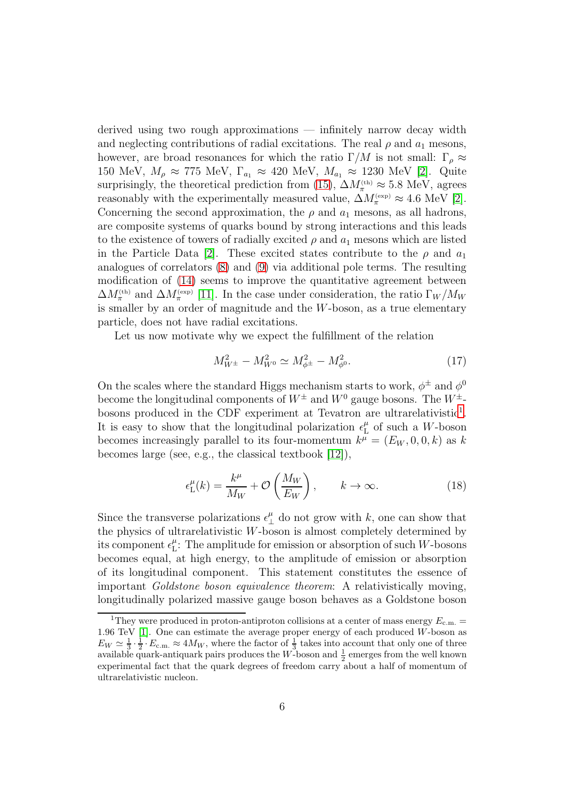derived using two rough approximations — infinitely narrow decay width and neglecting contributions of radial excitations. The real  $\rho$  and  $a_1$  mesons, however, are broad resonances for which the ratio  $\Gamma/M$  is not small:  $\Gamma_{\rho} \approx$ 150 MeV,  $M_\rho \approx 775$  MeV,  $\Gamma_{a_1} \approx 420$  MeV,  $M_{a_1} \approx 1230$  MeV [\[2\]](#page-7-1). Quite surprisingly, the theoretical prediction from [\(15\)](#page-4-2),  $\Delta M_{\pi}^{(\text{th})} \approx 5.8 \text{ MeV}$ , agrees reasonably with the experimentally measured value,  $\Delta M_{\pi}^{\text{(exp)}} \approx 4.6 \text{ MeV}$  [\[2\]](#page-7-1). Concerning the second approximation, the  $\rho$  and  $a_1$  mesons, as all hadrons, are composite systems of quarks bound by strong interactions and this leads to the existence of towers of radially excited  $\rho$  and  $a_1$  mesons which are listed in the Particle Data [\[2\]](#page-7-1). These excited states contribute to the  $\rho$  and  $a_1$ analogues of correlators [\(8\)](#page-3-1) and [\(9\)](#page-3-2) via additional pole terms. The resulting modification of [\(14\)](#page-4-0) seems to improve the quantitative agreement between  $\Delta M_{\pi}^{(th)}$  and  $\Delta M_{\pi}^{(exp)}$  [\[11\]](#page-8-5). In the case under consideration, the ratio  $\Gamma_W/M_W$ is smaller by an order of magnitude and the W-boson, as a true elementary particle, does not have radial excitations.

Let us now motivate why we expect the fulfillment of the relation

<span id="page-5-1"></span>
$$
M_{W^{\pm}}^2 - M_{W^0}^2 \simeq M_{\phi^{\pm}}^2 - M_{\phi^0}^2. \tag{17}
$$

On the scales where the standard Higgs mechanism starts to work,  $\phi^{\pm}$  and  $\phi^{0}$ become the longitudinal components of  $W^{\pm}$  and  $W^{0}$  gauge bosons. The  $W^{\pm}$ -bosons produced in the CDF experiment at Tevatron are ultrarelativistic<sup>[1](#page-5-0)</sup>. It is easy to show that the longitudinal polarization  $\epsilon_L^{\mu}$  $_{\textrm{L}}^{\mu}$  of such a *W*-boson becomes increasingly parallel to its four-momentum  $k^{\mu} = (E_W, 0, 0, k)$  as k becomes large (see, e.g., the classical textbook [\[12\]](#page-8-6)),

$$
\epsilon_{\rm L}^{\mu}(k) = \frac{k^{\mu}}{M_W} + \mathcal{O}\left(\frac{M_W}{E_W}\right), \qquad k \to \infty.
$$
 (18)

Since the transverse polarizations  $\epsilon_{\perp}^{\mu}$  do not grow with k, one can show that the physics of ultrarelativistic W-boson is almost completely determined by its component  $\epsilon_{\mathrm{L}}^{\mu}$  $L^{\mu}$ : The amplitude for emission or absorption of such W-bosons becomes equal, at high energy, to the amplitude of emission or absorption of its longitudinal component. This statement constitutes the essence of important Goldstone boson equivalence theorem: A relativistically moving, longitudinally polarized massive gauge boson behaves as a Goldstone boson

<span id="page-5-0"></span><sup>&</sup>lt;sup>1</sup>They were produced in proton-antiproton collisions at a center of mass energy  $E_{\text{c.m.}}$  = 1.96 TeV [\[1\]](#page-7-0). One can estimate the average proper energy of each produced W-boson as  $E_W \simeq \frac{1}{3} \cdot \frac{1}{2} \cdot E_{c.m.} \approx 4M_W$ , where the factor of  $\frac{1}{3}$  takes into account that only one of three available quark-antiquark pairs produces the W-boson and  $\frac{1}{2}$  emerges from the well known experimental fact that the quark degrees of freedom carry about a half of momentum of ultrarelativistic nucleon.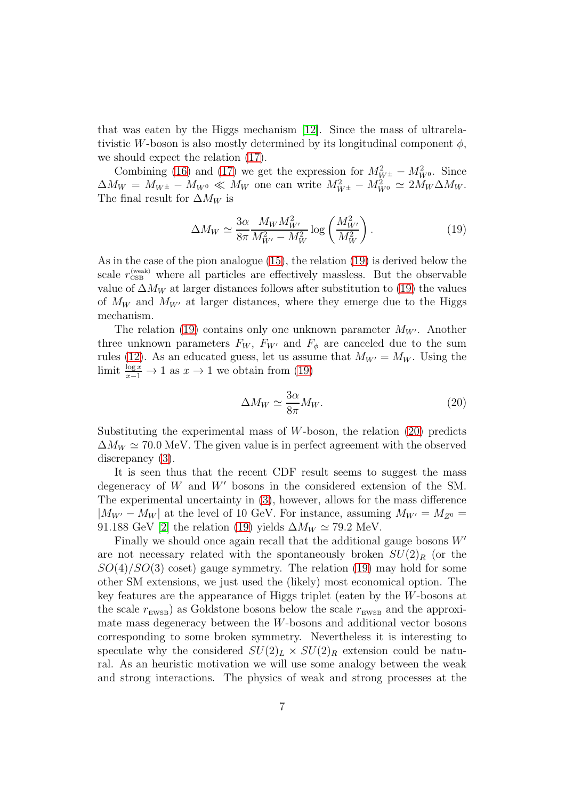that was eaten by the Higgs mechanism [\[12\]](#page-8-6). Since the mass of ultrarelativistic W-boson is also mostly determined by its longitudinal component  $\phi$ , we should expect the relation [\(17\)](#page-5-1).

Combining [\(16\)](#page-4-1) and [\(17\)](#page-5-1) we get the expression for  $M_{W^{\pm}}^2 - M_{W^0}^2$ . Since  $\Delta M_W = M_{W^{\pm}} - M_{W^0} \ll M_W$  one can write  $M_{W^{\pm}}^2 - M_{W^0}^2 \simeq 2 M_W \Delta M_W$ . The final result for  $\Delta M_W$  is

<span id="page-6-0"></span>
$$
\Delta M_W \simeq \frac{3\alpha}{8\pi} \frac{M_W M_{W'}^2}{M_{W'}^2 - M_W^2} \log\left(\frac{M_{W'}^2}{M_W^2}\right). \tag{19}
$$

As in the case of the pion analogue [\(15\)](#page-4-2), the relation [\(19\)](#page-6-0) is derived below the scale  $r_{\text{CSB}}^{(\text{weak})}$  where all particles are effectively massless. But the observable value of  $\Delta M_W$  at larger distances follows after substitution to [\(19\)](#page-6-0) the values of  $M_W$  and  $M_{W'}$  at larger distances, where they emerge due to the Higgs mechanism.

The relation [\(19\)](#page-6-0) contains only one unknown parameter  $M_{W'}$ . Another three unknown parameters  $F_W$ ,  $F_{W'}$  and  $F_{\phi}$  are canceled due to the sum rules [\(12\)](#page-3-3). As an educated guess, let us assume that  $M_{W'} = M_W$ . Using the limit  $\frac{\log x}{x-1} \to 1$  as  $x \to 1$  we obtain from [\(19\)](#page-6-0)

<span id="page-6-1"></span>
$$
\Delta M_W \simeq \frac{3\alpha}{8\pi} M_W. \tag{20}
$$

Substituting the experimental mass of W-boson, the relation  $(20)$  predicts  $\Delta M_W \simeq 70.0$  MeV. The given value is in perfect agreement with the observed discrepancy [\(3\)](#page-1-2).

It is seen thus that the recent CDF result seems to suggest the mass degeneracy of  $W$  and  $W'$  bosons in the considered extension of the SM. The experimental uncertainty in [\(3\)](#page-1-2), however, allows for the mass difference  $|M_{W'} - M_W|$  at the level of 10 GeV. For instance, assuming  $M_{W'} = M_{Z^0} =$ 91.188 GeV [\[2\]](#page-7-1) the relation [\(19\)](#page-6-0) yields  $\Delta M_W \simeq 79.2$  MeV.

Finally we should once again recall that the additional gauge bosons  $W'$ are not necessary related with the spontaneously broken  $SU(2)_R$  (or the  $SO(4)/SO(3)$  coset) gauge symmetry. The relation [\(19\)](#page-6-0) may hold for some other SM extensions, we just used the (likely) most economical option. The key features are the appearance of Higgs triplet (eaten by the W-bosons at the scale  $r_{\text{EWSB}}$  as Goldstone bosons below the scale  $r_{\text{EWSB}}$  and the approximate mass degeneracy between the W-bosons and additional vector bosons corresponding to some broken symmetry. Nevertheless it is interesting to speculate why the considered  $SU(2)_L \times SU(2)_R$  extension could be natural. As an heuristic motivation we will use some analogy between the weak and strong interactions. The physics of weak and strong processes at the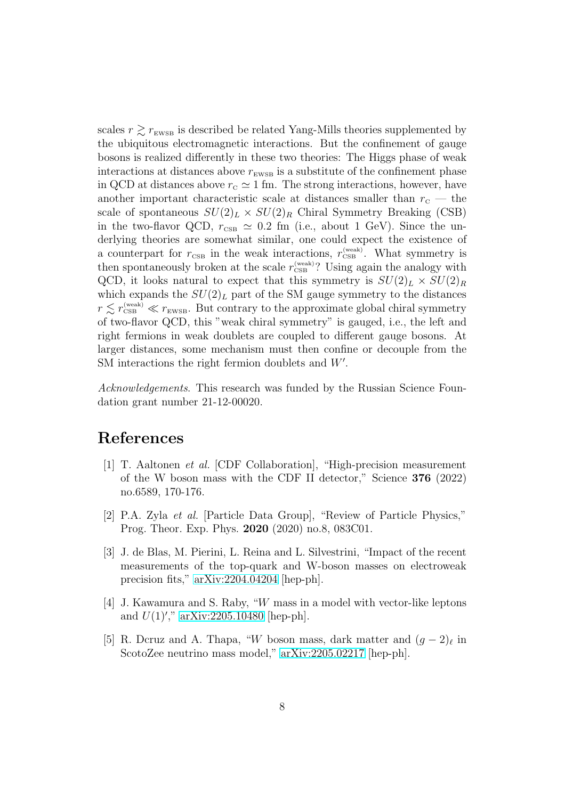scales  $r \geq r_{\text{EWSB}}$  is described be related Yang-Mills theories supplemented by the ubiquitous electromagnetic interactions. But the confinement of gauge bosons is realized differently in these two theories: The Higgs phase of weak interactions at distances above  $r_{\text{EWSB}}$  is a substitute of the confinement phase in QCD at distances above  $r_c \simeq 1$  fm. The strong interactions, however, have another important characteristic scale at distances smaller than  $r_{\rm c}$  — the scale of spontaneous  $SU(2)_L \times SU(2)_R$  Chiral Symmetry Breaking (CSB) in the two-flavor QCD,  $r_{\text{CSB}} \simeq 0.2$  fm (i.e., about 1 GeV). Since the underlying theories are somewhat similar, one could expect the existence of a counterpart for  $r_{\text{CSB}}$  in the weak interactions,  $r_{\text{CSB}}^{(\text{weak})}$ . What symmetry is then spontaneously broken at the scale  $r_{\text{CSB}}^{\text{(weak)}}$ ? Using again the analogy with QCD, it looks natural to expect that this symmetry is  $SU(2)_L \times SU(2)_R$ which expands the  $SU(2)_L$  part of the SM gauge symmetry to the distances  $r \lesssim r_{\text{\tiny CSB}}^{(\text{weak})} \ll r_{\text{\tiny EWSB}}$ . But contrary to the approximate global chiral symmetry of two-flavor QCD, this "weak chiral symmetry" is gauged, i.e., the left and right fermions in weak doublets are coupled to different gauge bosons. At larger distances, some mechanism must then confine or decouple from the SM interactions the right fermion doublets and  $W'$ .

Acknowledgements. This research was funded by the Russian Science Foundation grant number 21-12-00020.

## <span id="page-7-0"></span>References

- [1] T. Aaltonen et al. [CDF Collaboration], "High-precision measurement of the W boson mass with the CDF II detector," Science 376 (2022) no.6589, 170-176.
- <span id="page-7-1"></span>[2] P.A. Zyla et al. [Particle Data Group], "Review of Particle Physics," Prog. Theor. Exp. Phys. 2020 (2020) no.8, 083C01.
- <span id="page-7-2"></span>[3] J. de Blas, M. Pierini, L. Reina and L. Silvestrini, "Impact of the recent measurements of the top-quark and W-boson masses on electroweak precision fits," [arXiv:2204.04204](http://arxiv.org/abs/2204.04204) [hep-ph].
- <span id="page-7-3"></span>[4] J. Kawamura and S. Raby, "W mass in a model with vector-like leptons and  $U(1)$ '," [arXiv:2205.10480](http://arxiv.org/abs/2205.10480) [hep-ph].
- [5] R. Dcruz and A. Thapa, "W boson mass, dark matter and  $(g-2)$ <sub>l</sub> in ScotoZee neutrino mass model," [arXiv:2205.02217](http://arxiv.org/abs/2205.02217) [hep-ph].